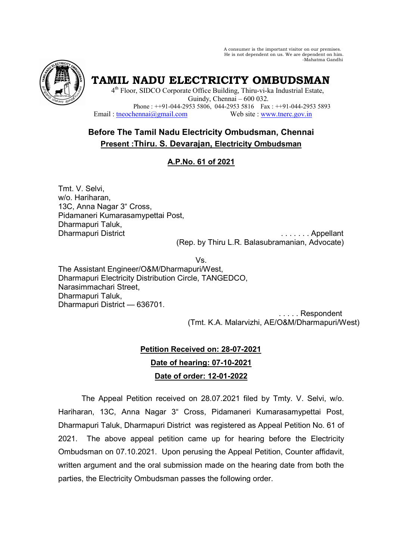A consumer is the important visitor on our premises. He is not dependent on us. We are dependent on him. -Mahatma Gandhi



**TAMIL NADU ELECTRICITY OMBUDSMAN** 

4<sup>th</sup> Floor, SIDCO Corporate Office Building, Thiru-vi-ka Industrial Estate, Guindy, Chennai – 600 032. Phone : ++91-044-2953 5806, 044-2953 5816 Fax : ++91-044-2953 5893 Email: theochennai@gmail.com Web site : www.tnerc.gov.in

# **Before The Tamil Nadu Electricity Ombudsman, Chennai Present :Thiru. S. Devarajan, Electricity Ombudsman**

# **A.P.No. 61 of 2021**

Tmt. V. Selvi, w/o. Hariharan, 13C, Anna Nagar 3" Cross, Pidamaneri Kumarasamypettai Post, Dharmapuri Taluk,

Dharmapuri District . . . . . . . Appellant (Rep. by Thiru L.R. Balasubramanian, Advocate)

Vs. The Assistant Engineer/O&M/Dharmapuri/West, Dharmapuri Electricity Distribution Circle, TANGEDCO, Narasimmachari Street, Dharmapuri Taluk, Dharmapuri District — 636701.

 . . . . . Respondent (Tmt. K.A. Malarvizhi, AE/O&M/Dharmapuri/West)

# **Petition Received on: 28-07-2021 Date of hearing: 07-10-2021 Date of order: 12-01-2022**

 The Appeal Petition received on 28.07.2021 filed by Tmty. V. Selvi, w/o. Hariharan, 13C, Anna Nagar 3" Cross, Pidamaneri Kumarasamypettai Post, Dharmapuri Taluk, Dharmapuri District was registered as Appeal Petition No. 61 of 2021. The above appeal petition came up for hearing before the Electricity Ombudsman on 07.10.2021. Upon perusing the Appeal Petition, Counter affidavit, written argument and the oral submission made on the hearing date from both the parties, the Electricity Ombudsman passes the following order.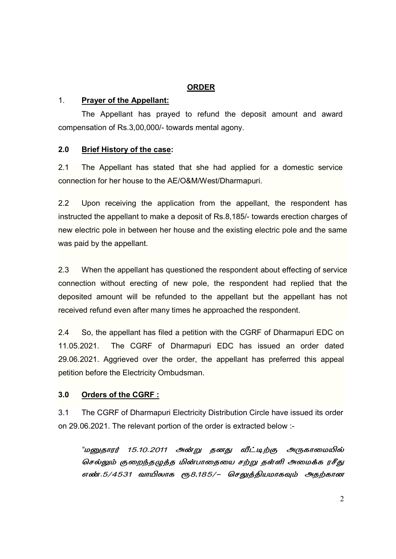# **ORDER**

## 1. **Prayer of the Appellant:**

 The Appellant has prayed to refund the deposit amount and award compensation of Rs.3,00,000/- towards mental agony.

## **2.0 Brief History of the case:**

2.1 The Appellant has stated that she had applied for a domestic service connection for her house to the AE/O&M/West/Dharmapuri.

2.2 Upon receiving the application from the appellant, the respondent has instructed the appellant to make a deposit of Rs.8,185/- towards erection charges of new electric pole in between her house and the existing electric pole and the same was paid by the appellant.

2.3 When the appellant has questioned the respondent about effecting of service connection without erecting of new pole, the respondent had replied that the deposited amount will be refunded to the appellant but the appellant has not received refund even after many times he approached the respondent.

2.4 So, the appellant has filed a petition with the CGRF of Dharmapuri EDC on 11.05.2021. The CGRF of Dharmapuri EDC has issued an order dated 29.06.2021. Aggrieved over the order, the appellant has preferred this appeal petition before the Electricity Ombudsman.

# **3.0 Orders of the CGRF :**

3.1 The CGRF of Dharmapuri Electricity Distribution Circle have issued its order on 29.06.2021. The relevant portion of the order is extracted below :-

<sup>"</sup>மனுதாரர் 15.10.2011 அன்று தனது வீட்டிற்கு அருகாமையில் செல்லும் குறைந்தழுத்த மின்பாதையை சற்று தள்ளி அமைக்க ரசீது எண்.5/4531 வாயிலாக ரூ8,185/– செலுத்தியமாகவும் அதற்கான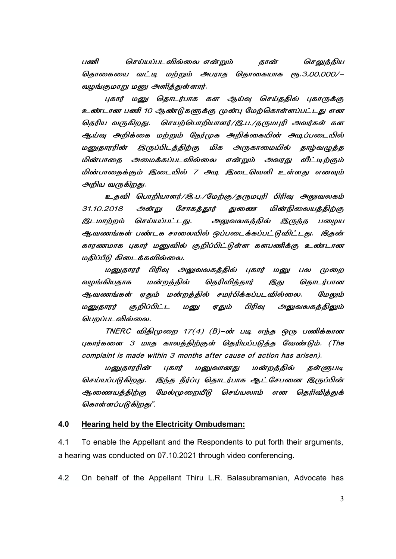பணி செய்யப்படவில்லை என்றும் தான் செலுத்திய தொகையை வட்டி மற்றும் அபராத தொகையாக ரூ.3,00,000/– வழங்குமாறு மனு அளித்துள்ளார்.

புகார் மனு தொடர்பாக கள ஆய்வு செய்ததில் புகாருக்கு உண்டான பணி 10 ஆண்டுகளுக்கு முன்பு மேற்கொள்ளப்பட்டது என தெரிய வருகிறது. செயற்பொறியாளர்/இ.ப./தருமபுரி அவர்கள் கள ஆய்வு அறிக்கை மற்றும் நேர்முக அறிக்கையின் அடிப்படையில் மனுகாரரின் இருப்பிடத்திற்கு மிக அருகாமையில் தாழ்வழுத்த மின்பாதை அமைக்கப்படவில்லை என்றும் அவரது வீட்டிற்கும் மின்பாகைக்கும் இடையில் 7 அடி இடைவெளி உள்ளது எனவும் அறிய வருகிறது.

உதவி பொறியாளர்/இ.ப./மேற்கு/தருமபுரி பிரிவு அலுவலகம் 31.10.2018 அன்று சோகத்தூர் துணை மின்நிலையத்திற்கு இடமாற்றம் செய்யப்பட்டது. அலுவலகத்தில் இருந்த பழைய ஆவணங்கள் பண்டக சாலையில் ஒப்படைக்கப்பட்டுவிட்டது. இதன் காரணமாக புகார் மனுவில் குறிப்பிட்டுள்ள களபணிக்கு உண்டான மதிப்பீடு கிடைக்கவில்லை.

மனுதாரர் பிரிவு அலுவலகத்தில் புகார் மனு பல முறை வழங்கியதாக மன்றத்தில் தெரிவித்தார் இது தொடர்பான ஆவணங்கள் ஏதும் மன்றத்தில் சமர்பிக்கப்படவில்லை. மேலும் மனுதாரர் குறிப்பிட்ட மனு ஏதும் பிரிவு அலுவலகத்திலும் பெறப்படவில்லை.

 $TNERC$  விதிமுறை 17(4) (B)–ன் படி எந்த ஒரு பணிக்கான புகார்களை 3 மாத காலத்திற்குள் தெரியப்படுத்த வேண்டும். (The complaint is made within 3 months after cause of action has arisen).

மனுதாரரின் புகார் மனு மனுவானது மன்றத்தில் தள்ளுபடி செய்யப்படுகிறது. இந்த தீர்ப்பு தொடர்பாக ஆட் சேபனை இருப்பின் ஆணையத்திற்கு மேல்முறையீடு செய்யலாம் என தெரிவித்துக் கொள்ளப்படுகிறது".

#### **4.0 Hearing held by the Electricity Ombudsman:**

4.1 To enable the Appellant and the Respondents to put forth their arguments, a hearing was conducted on 07.10.2021 through video conferencing.

4.2 On behalf of the Appellant Thiru L.R. Balasubramanian, Advocate has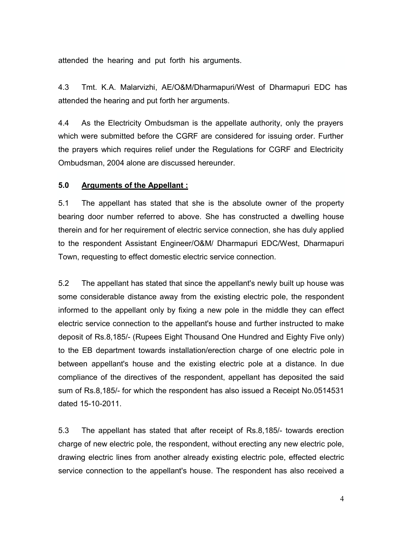attended the hearing and put forth his arguments.

4.3 Tmt. K.A. Malarvizhi, AE/O&M/Dharmapuri/West of Dharmapuri EDC has attended the hearing and put forth her arguments.

4.4 As the Electricity Ombudsman is the appellate authority, only the prayers which were submitted before the CGRF are considered for issuing order. Further the prayers which requires relief under the Regulations for CGRF and Electricity Ombudsman, 2004 alone are discussed hereunder.

#### **5.0 Arguments of the Appellant :**

5.1 The appellant has stated that she is the absolute owner of the property bearing door number referred to above. She has constructed a dwelling house therein and for her requirement of electric service connection, she has duly applied to the respondent Assistant Engineer/O&M/ Dharmapuri EDC/West, Dharmapuri Town, requesting to effect domestic electric service connection.

5.2 The appellant has stated that since the appellant's newly built up house was some considerable distance away from the existing electric pole, the respondent informed to the appellant only by fixing a new pole in the middle they can effect electric service connection to the appellant's house and further instructed to make deposit of Rs.8,185/- (Rupees Eight Thousand One Hundred and Eighty Five only) to the EB department towards installation/erection charge of one electric pole in between appellant's house and the existing electric pole at a distance. In due compliance of the directives of the respondent, appellant has deposited the said sum of Rs.8,185/- for which the respondent has also issued a Receipt No.0514531 dated 15-10-2011.

5.3 The appellant has stated that after receipt of Rs.8,185/- towards erection charge of new electric pole, the respondent, without erecting any new electric pole, drawing electric lines from another already existing electric pole, effected electric service connection to the appellant's house. The respondent has also received a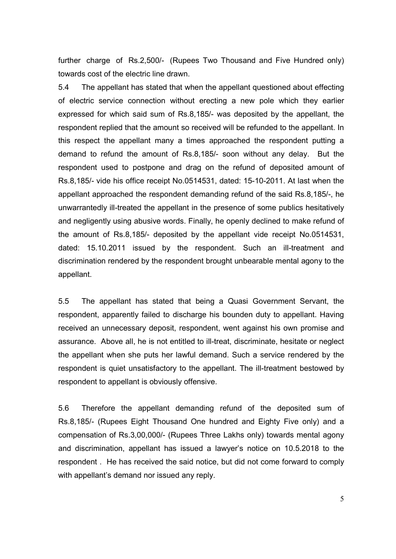further charge of Rs.2,500/- (Rupees Two Thousand and Five Hundred only) towards cost of the electric line drawn.

5.4 The appellant has stated that when the appellant questioned about effecting of electric service connection without erecting a new pole which they earlier expressed for which said sum of Rs.8,185/- was deposited by the appellant, the respondent replied that the amount so received will be refunded to the appellant. In this respect the appellant many a times approached the respondent putting a demand to refund the amount of Rs.8,185/- soon without any delay. But the respondent used to postpone and drag on the refund of deposited amount of Rs.8,185/- vide his office receipt No.0514531, dated: 15-10-2011. At last when the appellant approached the respondent demanding refund of the said Rs.8,185/-, he unwarrantedly ill-treated the appellant in the presence of some publics hesitatively and negligently using abusive words. Finally, he openly declined to make refund of the amount of Rs.8,185/- deposited by the appellant vide receipt No.0514531, dated: 15.10.2011 issued by the respondent. Such an ill-treatment and discrimination rendered by the respondent brought unbearable mental agony to the appellant.

5.5 The appellant has stated that being a Quasi Government Servant, the respondent, apparently failed to discharge his bounden duty to appellant. Having received an unnecessary deposit, respondent, went against his own promise and assurance. Above all, he is not entitled to ill-treat, discriminate, hesitate or neglect the appellant when she puts her lawful demand. Such a service rendered by the respondent is quiet unsatisfactory to the appellant. The ill-treatment bestowed by respondent to appellant is obviously offensive.

5.6 Therefore the appellant demanding refund of the deposited sum of Rs.8,185/- (Rupees Eight Thousand One hundred and Eighty Five only) and a compensation of Rs.3,00,000/- (Rupees Three Lakhs only) towards mental agony and discrimination, appellant has issued a lawyer's notice on 10.5.2018 to the respondent . He has received the said notice, but did not come forward to comply with appellant's demand nor issued any reply.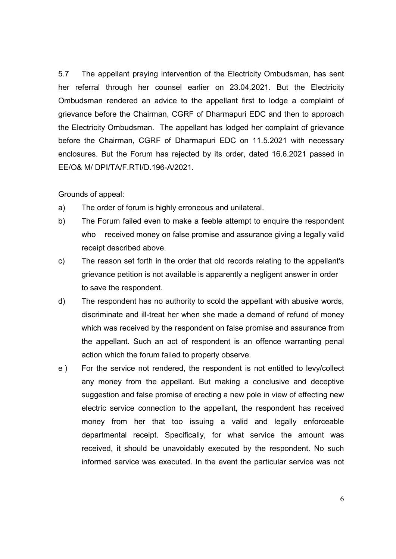5.7 The appellant praying intervention of the Electricity Ombudsman, has sent her referral through her counsel earlier on 23.04.2021. But the Electricity Ombudsman rendered an advice to the appellant first to lodge a complaint of grievance before the Chairman, CGRF of Dharmapuri EDC and then to approach the Electricity Ombudsman. The appellant has lodged her complaint of grievance before the Chairman, CGRF of Dharmapuri EDC on 11.5.2021 with necessary enclosures. But the Forum has rejected by its order, dated 16.6.2021 passed in EE/O& M/ DPI/TA/F.RTI/D.196-A/2021.

#### Grounds of appeal:

- a) The order of forum is highly erroneous and unilateral.
- b) The Forum failed even to make a feeble attempt to enquire the respondent who received money on false promise and assurance giving a legally valid receipt described above.
- c) The reason set forth in the order that old records relating to the appellant's grievance petition is not available is apparently a negligent answer in order to save the respondent.
- d) The respondent has no authority to scold the appellant with abusive words, discriminate and ill-treat her when she made a demand of refund of money which was received by the respondent on false promise and assurance from the appellant. Such an act of respondent is an offence warranting penal action which the forum failed to properly observe.
- e ) For the service not rendered, the respondent is not entitled to levy/collect any money from the appellant. But making a conclusive and deceptive suggestion and false promise of erecting a new pole in view of effecting new electric service connection to the appellant, the respondent has received money from her that too issuing a valid and legally enforceable departmental receipt. Specifically, for what service the amount was received, it should be unavoidably executed by the respondent. No such informed service was executed. In the event the particular service was not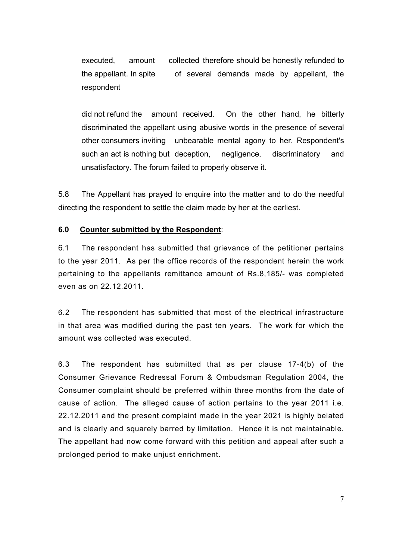executed, amount collected therefore should be honestly refunded to the appellant. In spite of several demands made by appellant, the respondent

did not refund the amount received. On the other hand, he bitterly discriminated the appellant using abusive words in the presence of several other consumers inviting unbearable mental agony to her. Respondent's such an act is nothing but deception, negligence, discriminatory and unsatisfactory. The forum failed to properly observe it.

5.8 The Appellant has prayed to enquire into the matter and to do the needful directing the respondent to settle the claim made by her at the earliest.

#### **6.0 Counter submitted by the Respondent**:

6.1 The respondent has submitted that grievance of the petitioner pertains to the year 2011. As per the office records of the respondent herein the work pertaining to the appellants remittance amount of Rs.8,185/- was completed even as on 22.12.2011.

6.2 The respondent has submitted that most of the electrical infrastructure in that area was modified during the past ten years. The work for which the amount was collected was executed.

6.3 The respondent has submitted that as per clause 17-4(b) of the Consumer Grievance Redressal Forum & Ombudsman Regulation 2004, the Consumer complaint should be preferred within three months from the date of cause of action. The alleged cause of action pertains to the year 2011 i.e. 22.12.2011 and the present complaint made in the year 2021 is highly belated and is clearly and squarely barred by limitation. Hence it is not maintainable. The appellant had now come forward with this petition and appeal after such a prolonged period to make unjust enrichment.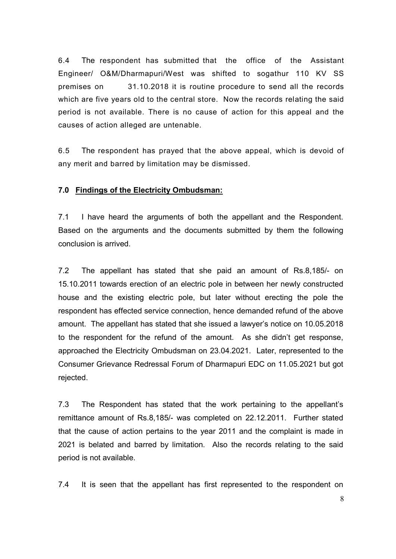6.4 The respondent has submitted that the office of the Assistant Engineer/ O&M/Dharmapuri/West was shifted to sogathur 110 KV SS premises on 31.10.2018 it is routine procedure to send all the records which are five years old to the central store. Now the records relating the said period is not available. There is no cause of action for this appeal and the causes of action alleged are untenable.

6.5 The respondent has prayed that the above appeal, which is devoid of any merit and barred by limitation may be dismissed.

#### **7.0 Findings of the Electricity Ombudsman:**

7.1 I have heard the arguments of both the appellant and the Respondent. Based on the arguments and the documents submitted by them the following conclusion is arrived.

7.2 The appellant has stated that she paid an amount of Rs.8,185/- on 15.10.2011 towards erection of an electric pole in between her newly constructed house and the existing electric pole, but later without erecting the pole the respondent has effected service connection, hence demanded refund of the above amount. The appellant has stated that she issued a lawyer's notice on 10.05.2018 to the respondent for the refund of the amount. As she didn't get response, approached the Electricity Ombudsman on 23.04.2021. Later, represented to the Consumer Grievance Redressal Forum of Dharmapuri EDC on 11.05.2021 but got rejected.

7.3 The Respondent has stated that the work pertaining to the appellant's remittance amount of Rs.8,185/- was completed on 22.12.2011. Further stated that the cause of action pertains to the year 2011 and the complaint is made in 2021 is belated and barred by limitation. Also the records relating to the said period is not available.

7.4 It is seen that the appellant has first represented to the respondent on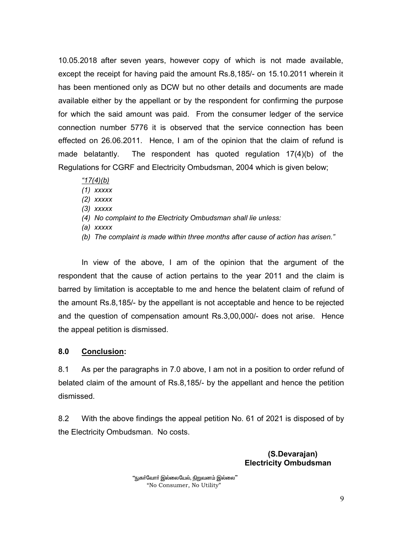10.05.2018 after seven years, however copy of which is not made available, except the receipt for having paid the amount Rs.8,185/- on 15.10.2011 wherein it has been mentioned only as DCW but no other details and documents are made available either by the appellant or by the respondent for confirming the purpose for which the said amount was paid. From the consumer ledger of the service connection number 5776 it is observed that the service connection has been effected on 26.06.2011. Hence, I am of the opinion that the claim of refund is made belatantly. The respondent has quoted regulation 17(4)(b) of the Regulations for CGRF and Electricity Ombudsman, 2004 which is given below;

#### *"17(4)(b)*

- *(1) xxxxx*
- *(2) xxxxx*
- *(3) xxxxx*
- *(4) No complaint to the Electricity Ombudsman shall lie unless:*
- *(a) xxxxx*
- *(b) The complaint is made within three months after cause of action has arisen."*

In view of the above, I am of the opinion that the argument of the respondent that the cause of action pertains to the year 2011 and the claim is barred by limitation is acceptable to me and hence the belatent claim of refund of the amount Rs.8,185/- by the appellant is not acceptable and hence to be rejected and the question of compensation amount Rs.3,00,000/- does not arise. Hence the appeal petition is dismissed.

#### **8.0 Conclusion:**

8.1 As per the paragraphs in 7.0 above, I am not in a position to order refund of belated claim of the amount of Rs.8,185/- by the appellant and hence the petition dismissed.

8.2 With the above findings the appeal petition No. 61 of 2021 is disposed of by the Electricity Ombudsman. No costs.

> **(S.Devarajan) Electricity Ombudsman**

"நுகா்வோா் இல்லையேல், நிறுவனம் இல்லை" "No Consumer, No Utility"